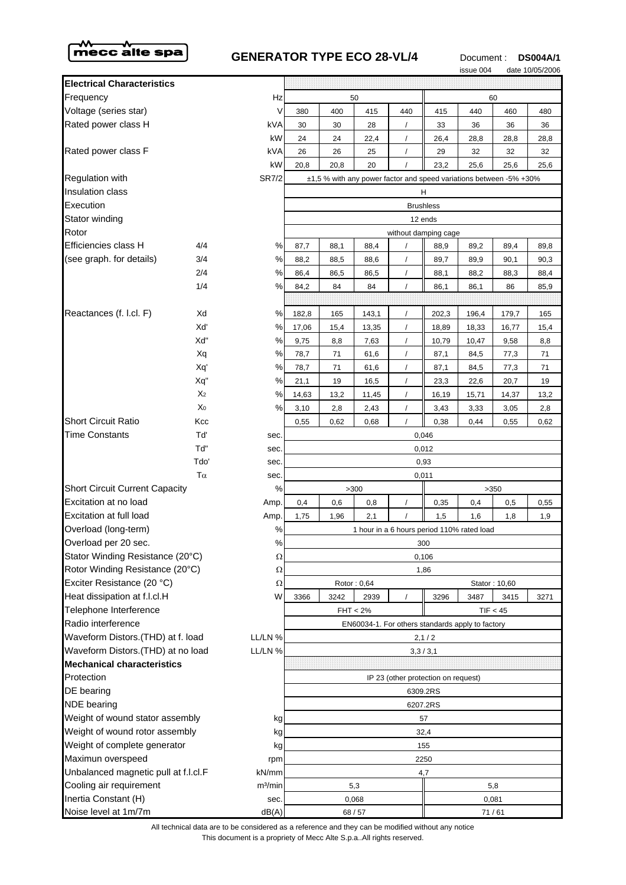

## **GENERATOR TYPE ECO 28-VL/4** Document : **DS004A/1**<br>
SSUe 004 date 10/05/2006



|                                                               |                |                     |                                                                              |      |             |                                     |          | <b>ISSUE UU4</b> |               | date TU/US/ZUU6 |
|---------------------------------------------------------------|----------------|---------------------|------------------------------------------------------------------------------|------|-------------|-------------------------------------|----------|------------------|---------------|-----------------|
| <b>Electrical Characteristics</b>                             |                |                     |                                                                              |      |             |                                     |          |                  |               |                 |
| Frequency                                                     |                | Hz                  | 50                                                                           |      |             |                                     | 60       |                  |               |                 |
| Voltage (series star)                                         |                | V                   | 380                                                                          | 400  | 415         | 440                                 | 415      | 440              | 460           | 480             |
| Rated power class H                                           |                | kVA                 | 30                                                                           | 30   | 28          | $\prime$                            | 33       | 36               | 36            | 36              |
|                                                               |                | kW                  | 24                                                                           | 24   | 22,4        | $\prime$                            | 26,4     | 28,8             | 28,8          | 28,8            |
| Rated power class F                                           |                | kVA                 | 26                                                                           | 26   | 25          |                                     | 29       | 32               | 32            | 32              |
|                                                               |                | kW                  | 20,8                                                                         | 20,8 | 20          |                                     | 23,2     | 25,6             | 25,6          | 25,6            |
| <b>Regulation with</b>                                        |                | <b>SR7/2</b>        | ±1,5 % with any power factor and speed variations between -5% +30%           |      |             |                                     |          |                  |               |                 |
| <b>Insulation class</b>                                       |                |                     |                                                                              |      |             |                                     | H        |                  |               |                 |
| Execution                                                     |                | <b>Brushless</b>    |                                                                              |      |             |                                     |          |                  |               |                 |
| Stator winding                                                |                | 12 ends             |                                                                              |      |             |                                     |          |                  |               |                 |
| Rotor                                                         |                |                     | without damping cage                                                         |      |             |                                     |          |                  |               |                 |
| Efficiencies class H                                          | 4/4            | %                   | 87,7                                                                         | 88,1 | 88,4        |                                     | 88,9     | 89,2             | 89,4          | 89,8            |
| (see graph. for details)                                      | 3/4            | %                   | 88,2                                                                         | 88,5 | 88,6        |                                     | 89,7     | 89,9             | 90,1          | 90,3            |
|                                                               | 2/4            | $\%$                | 86,4                                                                         | 86,5 | 86,5        |                                     | 88,1     | 88,2             | 88,3          | 88,4            |
|                                                               | 1/4            | ℅                   | 84,2                                                                         | 84   | 84          |                                     | 86,1     | 86,1             | 86            | 85,9            |
|                                                               |                |                     |                                                                              |      |             |                                     |          |                  |               |                 |
| Reactances (f. l.cl. F)                                       | Xd             | %                   | 182,8                                                                        | 165  | 143,1       | $\prime$                            | 202,3    | 196,4            | 179,7         | 165             |
|                                                               | Xď             | %                   | 17,06                                                                        | 15,4 | 13,35       | $\sqrt{2}$                          | 18,89    | 18,33            | 16,77         | 15,4            |
|                                                               | Xd"            | %                   | 9,75                                                                         | 8,8  | 7,63        |                                     | 10,79    | 10,47            | 9,58          | 8,8             |
|                                                               | Xq             | %                   | 78,7                                                                         | 71   | 61,6        | $\prime$                            | 87,1     | 84,5             | 77,3          | 71              |
|                                                               | Xq'            | $\%$                | 78,7                                                                         | 71   | 61,6        |                                     | 87,1     | 84,5             | 77,3          | 71              |
|                                                               | Xq"            | %                   | 21,1                                                                         | 19   | 16,5        | $\sqrt{2}$                          | 23,3     | 22,6             | 20,7          | 19              |
|                                                               | X <sub>2</sub> | %                   | 14,63                                                                        | 13,2 | 11,45       | $\prime$                            | 16,19    | 15,71            | 14,37         | 13,2            |
|                                                               | X <sub>0</sub> | %                   | 3,10                                                                         | 2,8  | 2,43        | $\prime$                            | 3,43     | 3,33             | 3,05          | 2,8             |
| <b>Short Circuit Ratio</b>                                    | Kcc            |                     | 0,55                                                                         | 0,62 | 0,68        | $\prime$                            | 0,38     | 0,44             | 0,55          | 0,62            |
| <b>Time Constants</b>                                         | Tď             | sec.                | 0,046                                                                        |      |             |                                     |          |                  |               |                 |
|                                                               | Tď"            | sec.                | 0,012                                                                        |      |             |                                     |          |                  |               |                 |
|                                                               | Tdo'           | sec.                | 0,93                                                                         |      |             |                                     |          |                  |               |                 |
| $T\alpha$                                                     |                | sec.                | 0,011                                                                        |      |             |                                     |          |                  |               |                 |
| <b>Short Circuit Current Capacity</b>                         |                | %                   |                                                                              |      | >300        |                                     |          |                  | >350          |                 |
| Excitation at no load                                         |                | Amp.                | 0,4                                                                          | 0,6  | 0,8         |                                     | 0,35     | 0,4              | 0,5           | 0,55            |
| Excitation at full load                                       |                | Amp.                | 1,75                                                                         | 1,96 | 2,1         |                                     | 1,5      | 1,6              | 1,8           | 1,9             |
| Overload (long-term)                                          |                | $\%$                | 1 hour in a 6 hours period 110% rated load                                   |      |             |                                     |          |                  |               |                 |
| Overload per 20 sec.                                          |                | $\%$                | 300                                                                          |      |             |                                     |          |                  |               |                 |
| Stator Winding Resistance (20°C)                              |                | Ω                   | 0,106<br>1,86                                                                |      |             |                                     |          |                  |               |                 |
| Rotor Winding Resistance (20°C)<br>Exciter Resistance (20 °C) |                | Ω                   |                                                                              |      |             |                                     |          |                  |               |                 |
| Heat dissipation at f.l.cl.H                                  |                | Ω<br>W              |                                                                              |      | Rotor: 0,64 |                                     |          |                  | Stator: 10,60 |                 |
| Telephone Interference                                        |                |                     | 3242<br>3487<br>3366<br>2939<br>3296<br>3415<br>3271<br>FHT < 2%<br>TIF < 45 |      |             |                                     |          |                  |               |                 |
| Radio interference                                            |                |                     | EN60034-1. For others standards apply to factory                             |      |             |                                     |          |                  |               |                 |
| Waveform Distors.(THD) at f. load<br>LL/LN %                  |                | 2,1/2               |                                                                              |      |             |                                     |          |                  |               |                 |
| Waveform Distors.(THD) at no load<br>LL/LN %                  |                | 3,3/3,1             |                                                                              |      |             |                                     |          |                  |               |                 |
| <b>Mechanical characteristics</b>                             |                |                     |                                                                              |      |             |                                     |          |                  |               |                 |
| Protection                                                    |                |                     |                                                                              |      |             | IP 23 (other protection on request) |          |                  |               |                 |
| DE bearing                                                    |                |                     |                                                                              |      |             |                                     | 6309.2RS |                  |               |                 |
| <b>NDE</b> bearing                                            |                | 6207.2RS            |                                                                              |      |             |                                     |          |                  |               |                 |
| Weight of wound stator assembly<br>kg                         |                | 57                  |                                                                              |      |             |                                     |          |                  |               |                 |
| Weight of wound rotor assembly<br>kg                          |                | 32,4                |                                                                              |      |             |                                     |          |                  |               |                 |
| Weight of complete generator<br>kg                            |                | 155                 |                                                                              |      |             |                                     |          |                  |               |                 |
| Maximun overspeed<br>rpm                                      |                | 2250                |                                                                              |      |             |                                     |          |                  |               |                 |
| Unbalanced magnetic pull at f.l.cl.F<br>kN/mm                 |                |                     | 4,7                                                                          |      |             |                                     |          |                  |               |                 |
| Cooling air requirement                                       |                | m <sup>3</sup> /min | 5,3<br>5,8                                                                   |      |             |                                     |          |                  |               |                 |
| Inertia Constant (H)                                          |                | sec.                | 0,068                                                                        |      |             |                                     | 0,081    |                  |               |                 |
| Noise level at 1m/7m                                          |                | dB(A)               | 68/57                                                                        |      |             |                                     | 71/61    |                  |               |                 |

This document is a propriety of Mecc Alte S.p.a..All rights reserved. All technical data are to be considered as a reference and they can be modified without any notice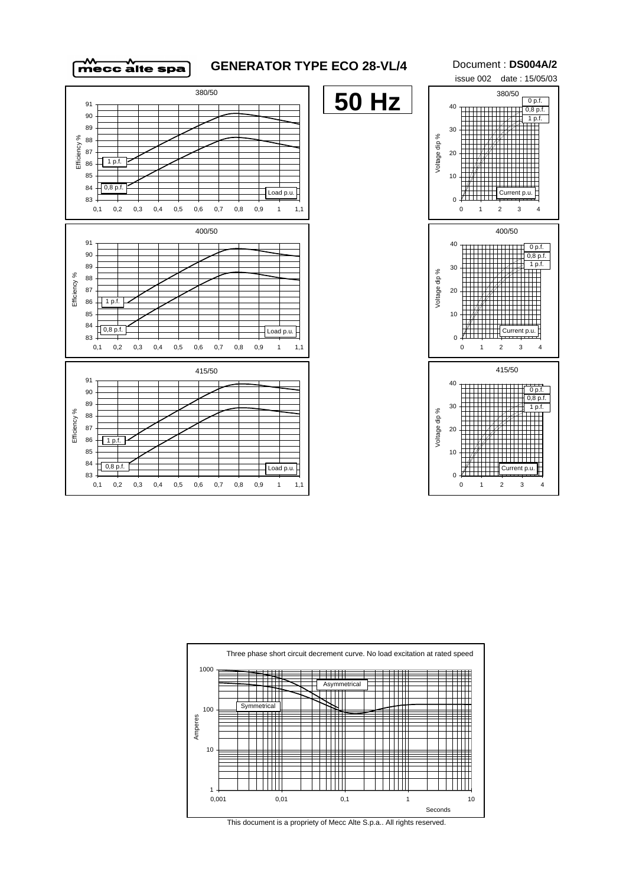

## **GENERATOR TYPE ECO 28-VL/4** Document : **DS004A/2**

**50 Hz**

issue 002 date : 15/05/03 30 40 380/50 0,8 p.f. 1 p.f.  $0 p.f$ 







This document is a propriety of Mecc Alte S.p.a.. All rights reserved.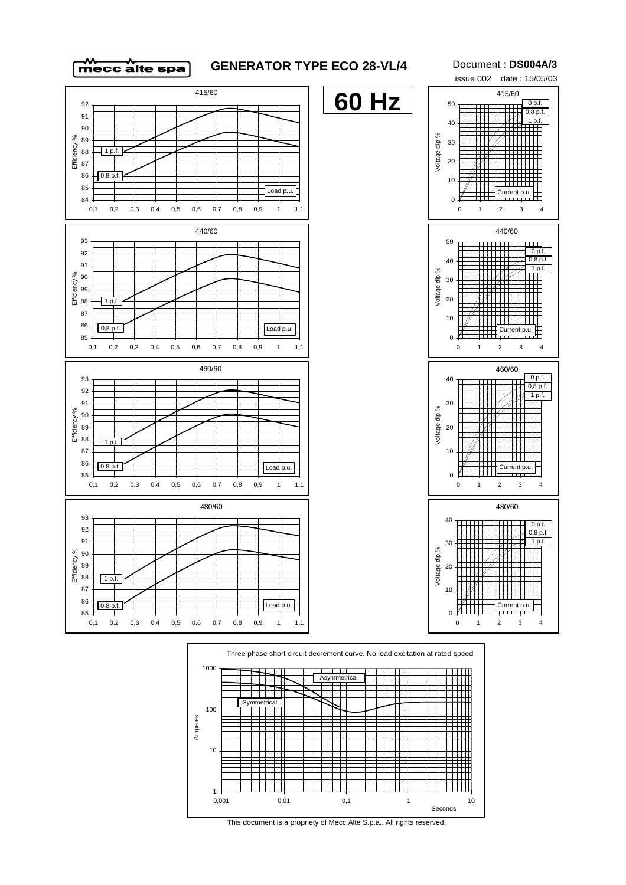

## **GENERATOR TYPE ECO 28-VL/4** Document : **DS004A/3**

issue 002 date : 15/05/03 415/60 0 p.f.





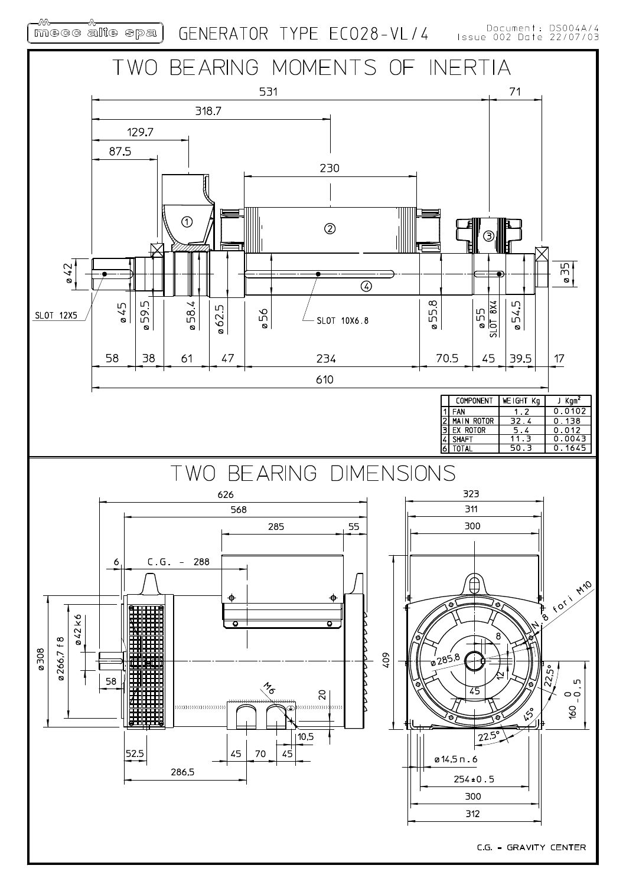